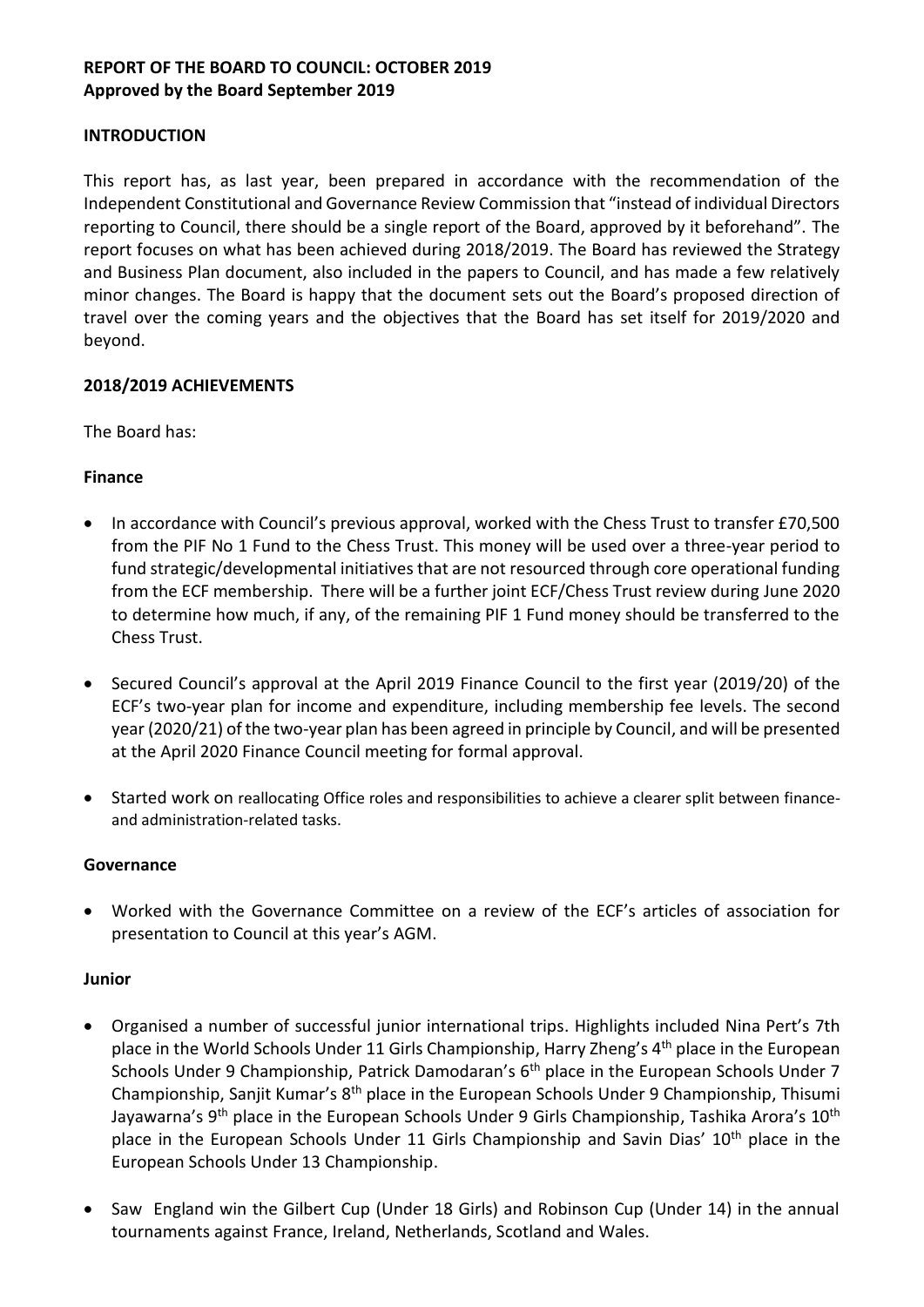# **REPORT OF THE BOARD TO COUNCIL: OCTOBER 2019 Approved by the Board September 2019**

### **INTRODUCTION**

This report has, as last year, been prepared in accordance with the recommendation of the Independent Constitutional and Governance Review Commission that "instead of individual Directors reporting to Council, there should be a single report of the Board, approved by it beforehand". The report focuses on what has been achieved during 2018/2019. The Board has reviewed the Strategy and Business Plan document, also included in the papers to Council, and has made a few relatively minor changes. The Board is happy that the document sets out the Board's proposed direction of travel over the coming years and the objectives that the Board has set itself for 2019/2020 and beyond.

## **2018/2019 ACHIEVEMENTS**

The Board has:

## **Finance**

- In accordance with Council's previous approval, worked with the Chess Trust to transfer £70,500 from the PIF No 1 Fund to the Chess Trust. This money will be used over a three-year period to fund strategic/developmental initiatives that are not resourced through core operational funding from the ECF membership. There will be a further joint ECF/Chess Trust review during June 2020 to determine how much, if any, of the remaining PIF 1 Fund money should be transferred to the Chess Trust.
- Secured Council's approval at the April 2019 Finance Council to the first year (2019/20) of the ECF's two-year plan for income and expenditure, including membership fee levels. The second year (2020/21) of the two-year plan has been agreed in principle by Council, and will be presented at the April 2020 Finance Council meeting for formal approval.
- Started work on reallocating Office roles and responsibilities to achieve a clearer split between financeand administration-related tasks.

#### **Governance**

• Worked with the Governance Committee on a review of the ECF's articles of association for presentation to Council at this year's AGM.

#### **Junior**

- Organised a number of successful junior international trips. Highlights included Nina Pert's 7th place in the World Schools Under 11 Girls Championship, Harry Zheng's 4<sup>th</sup> place in the European Schools Under 9 Championship, Patrick Damodaran's 6<sup>th</sup> place in the European Schools Under 7 Championship, Sanjit Kumar's 8<sup>th</sup> place in the European Schools Under 9 Championship, Thisumi Jayawarna's 9<sup>th</sup> place in the European Schools Under 9 Girls Championship, Tashika Arora's 10<sup>th</sup> place in the European Schools Under 11 Girls Championship and Savin Dias' 10<sup>th</sup> place in the European Schools Under 13 Championship.
- Saw England win the Gilbert Cup (Under 18 Girls) and Robinson Cup (Under 14) in the annual tournaments against France, Ireland, Netherlands, Scotland and Wales.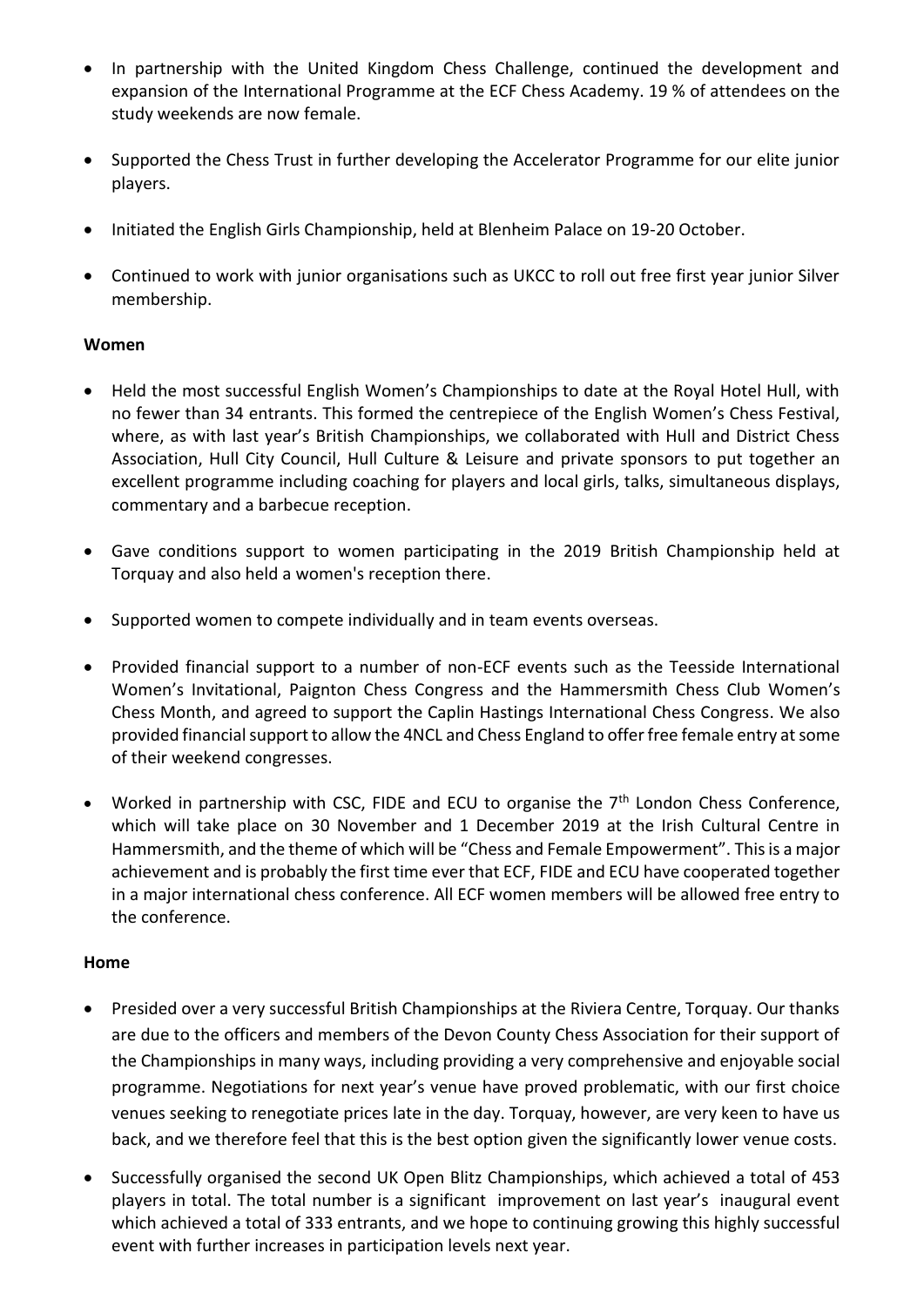- In partnership with the United Kingdom Chess Challenge, continued the development and expansion of the International Programme at the ECF Chess Academy. 19 % of attendees on the study weekends are now female.
- Supported the Chess Trust in further developing the Accelerator Programme for our elite junior players.
- Initiated the English Girls Championship, held at Blenheim Palace on 19-20 October.
- Continued to work with junior organisations such as UKCC to roll out free first year junior Silver membership.

## **Women**

- Held the most successful English Women's Championships to date at the Royal Hotel Hull, with no fewer than 34 entrants. This formed the centrepiece of the English Women's Chess Festival, where, as with last year's British Championships, we collaborated with Hull and District Chess Association, Hull City Council, Hull Culture & Leisure and private sponsors to put together an excellent programme including coaching for players and local girls, talks, simultaneous displays, commentary and a barbecue reception.
- Gave conditions support to women participating in the 2019 British Championship held at Torquay and also held a women's reception there.
- Supported women to compete individually and in team events overseas.
- Provided financial support to a number of non-ECF events such as the Teesside International Women's Invitational, Paignton Chess Congress and the Hammersmith Chess Club Women's Chess Month, and agreed to support the Caplin Hastings International Chess Congress. We also provided financial support to allow the 4NCL and Chess England to offer free female entry at some of their weekend congresses.
- Worked in partnership with CSC, FIDE and ECU to organise the 7<sup>th</sup> London Chess Conference, which will take place on 30 November and 1 December 2019 at the Irish Cultural Centre in Hammersmith, and the theme of which will be "Chess and Female Empowerment". This is a major achievement and is probably the first time ever that ECF, FIDE and ECU have cooperated together in a major international chess conference. All ECF women members will be allowed free entry to the conference.

#### **Home**

- Presided over a very successful British Championships at the Riviera Centre, Torquay. Our thanks are due to the officers and members of the Devon County Chess Association for their support of the Championships in many ways, including providing a very comprehensive and enjoyable social programme. Negotiations for next year's venue have proved problematic, with our first choice venues seeking to renegotiate prices late in the day. Torquay, however, are very keen to have us back, and we therefore feel that this is the best option given the significantly lower venue costs.
- Successfully organised the second UK Open Blitz Championships, which achieved a total of 453 players in total. The total number is a significant improvement on last year's inaugural event which achieved a total of 333 entrants, and we hope to continuing growing this highly successful event with further increases in participation levels next year.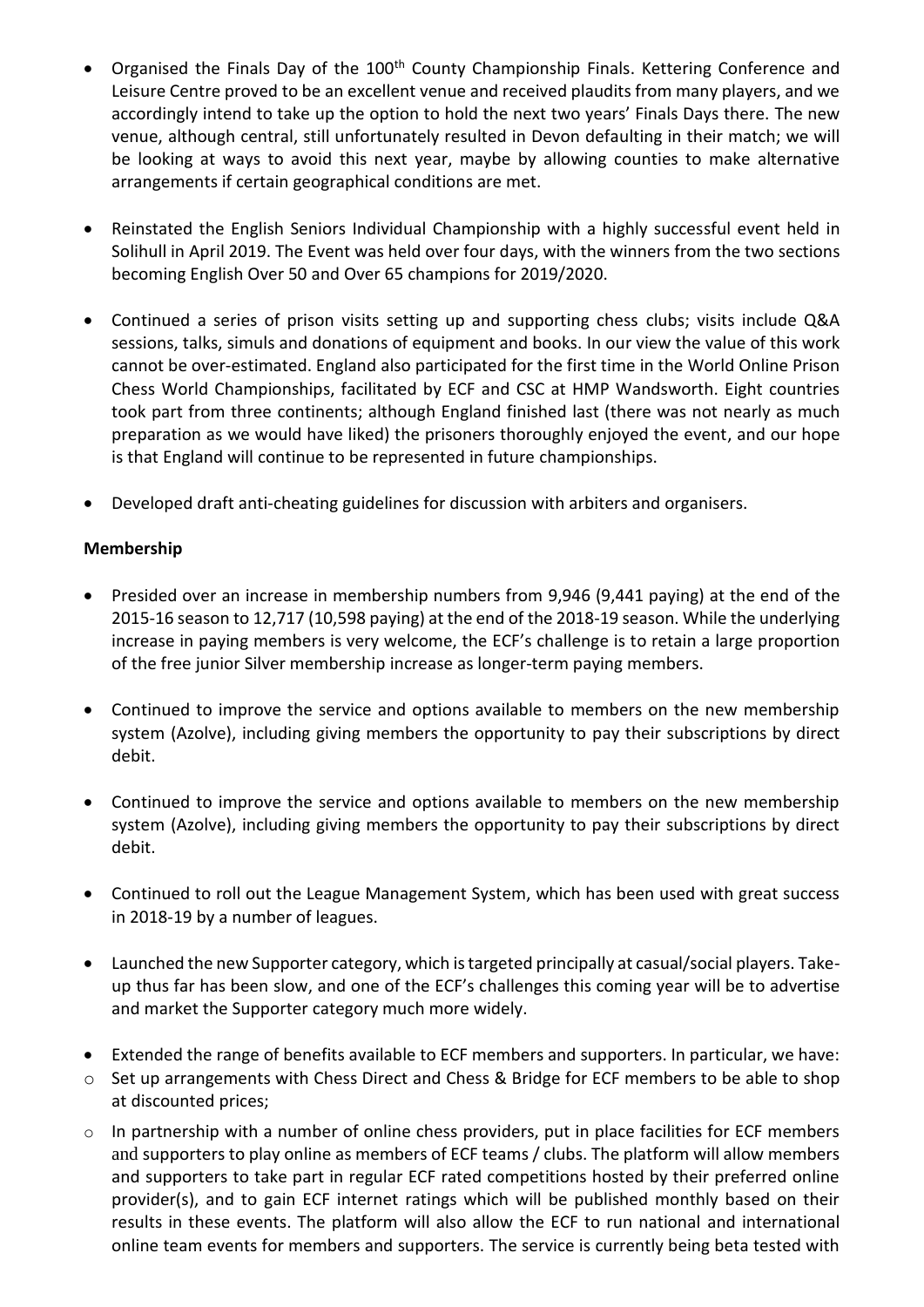- Organised the Finals Day of the 100<sup>th</sup> County Championship Finals. Kettering Conference and Leisure Centre proved to be an excellent venue and received plaudits from many players, and we accordingly intend to take up the option to hold the next two years' Finals Days there. The new venue, although central, still unfortunately resulted in Devon defaulting in their match; we will be looking at ways to avoid this next year, maybe by allowing counties to make alternative arrangements if certain geographical conditions are met.
- Reinstated the English Seniors Individual Championship with a highly successful event held in Solihull in April 2019. The Event was held over four days, with the winners from the two sections becoming English Over 50 and Over 65 champions for 2019/2020.
- Continued a series of prison visits setting up and supporting chess clubs; visits include Q&A sessions, talks, simuls and donations of equipment and books. In our view the value of this work cannot be over-estimated. England also participated for the first time in the World Online Prison Chess World Championships, facilitated by ECF and CSC at HMP Wandsworth. Eight countries took part from three continents; although England finished last (there was not nearly as much preparation as we would have liked) the prisoners thoroughly enjoyed the event, and our hope is that England will continue to be represented in future championships.
- Developed draft anti-cheating guidelines for discussion with arbiters and organisers.

## **Membership**

- Presided over an increase in membership numbers from 9,946 (9,441 paying) at the end of the 2015-16 season to 12,717 (10,598 paying) at the end of the 2018-19 season. While the underlying increase in paying members is very welcome, the ECF's challenge is to retain a large proportion of the free junior Silver membership increase as longer-term paying members.
- Continued to improve the service and options available to members on the new membership system (Azolve), including giving members the opportunity to pay their subscriptions by direct debit.
- Continued to improve the service and options available to members on the new membership system (Azolve), including giving members the opportunity to pay their subscriptions by direct debit.
- Continued to roll out the League Management System, which has been used with great success in 2018-19 by a number of leagues.
- Launched the new Supporter category, which is targeted principally at casual/social players. Takeup thus far has been slow, and one of the ECF's challenges this coming year will be to advertise and market the Supporter category much more widely.
- Extended the range of benefits available to ECF members and supporters. In particular, we have:
- o Set up arrangements with Chess Direct and Chess & Bridge for ECF members to be able to shop at discounted prices;
- $\circ$  In partnership with a number of online chess providers, put in place facilities for ECF members and supporters to play online as members of ECF teams / clubs. The platform will allow members and supporters to take part in regular ECF rated competitions hosted by their preferred online provider(s), and to gain ECF internet ratings which will be published monthly based on their results in these events. The platform will also allow the ECF to run national and international online team events for members and supporters. The service is currently being beta tested with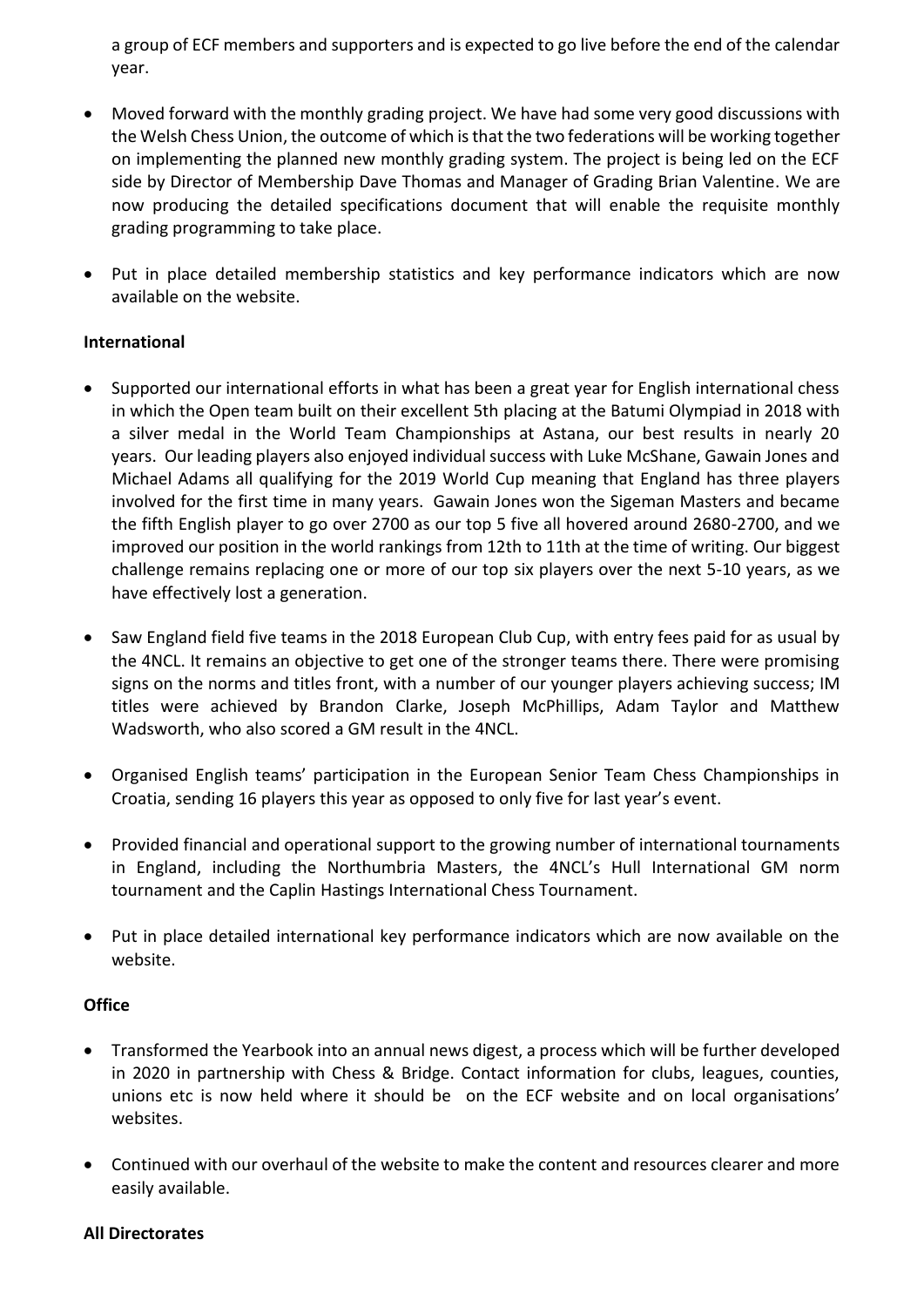a group of ECF members and supporters and is expected to go live before the end of the calendar year.

- Moved forward with the monthly grading project. We have had some very good discussions with the Welsh Chess Union, the outcome of which is that the two federations will be working together on implementing the planned new monthly grading system. The project is being led on the ECF side by Director of Membership Dave Thomas and Manager of Grading Brian Valentine. We are now producing the detailed specifications document that will enable the requisite monthly grading programming to take place.
- Put in place detailed membership statistics and key performance indicators which are now available on the website.

## **International**

- Supported our international efforts in what has been a great year for English international chess in which the Open team built on their excellent 5th placing at the Batumi Olympiad in 2018 with a silver medal in the World Team Championships at Astana, our best results in nearly 20 years. Our leading players also enjoyed individual success with Luke McShane, Gawain Jones and Michael Adams all qualifying for the 2019 World Cup meaning that England has three players involved for the first time in many years. Gawain Jones won the Sigeman Masters and became the fifth English player to go over 2700 as our top 5 five all hovered around 2680-2700, and we improved our position in the world rankings from 12th to 11th at the time of writing. Our biggest challenge remains replacing one or more of our top six players over the next 5-10 years, as we have effectively lost a generation.
- Saw England field five teams in the 2018 European Club Cup, with entry fees paid for as usual by the 4NCL. It remains an objective to get one of the stronger teams there. There were promising signs on the norms and titles front, with a number of our younger players achieving success; IM titles were achieved by Brandon Clarke, Joseph McPhillips, Adam Taylor and Matthew Wadsworth, who also scored a GM result in the 4NCL.
- Organised English teams' participation in the European Senior Team Chess Championships in Croatia, sending 16 players this year as opposed to only five for last year's event.
- Provided financial and operational support to the growing number of international tournaments in England, including the Northumbria Masters, the 4NCL's Hull International GM norm tournament and the Caplin Hastings International Chess Tournament.
- Put in place detailed international key performance indicators which are now available on the website.

#### **Office**

- Transformed the Yearbook into an annual news digest, a process which will be further developed in 2020 in partnership with Chess & Bridge. Contact information for clubs, leagues, counties, unions etc is now held where it should be on the ECF website and on local organisations' websites.
- Continued with our overhaul of the website to make the content and resources clearer and more easily available.

#### **All Directorates**